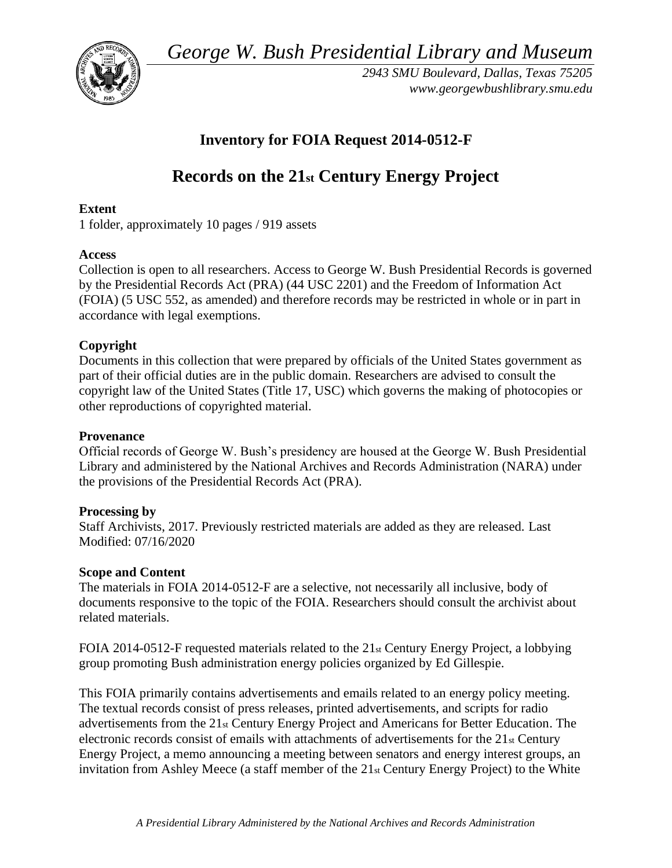*George W. Bush Presidential Library and Museum* 



*2943 SMU Boulevard, Dallas, Texas 75205 <www.georgewbushlibrary.smu.edu>* 

# **Inventory for FOIA Request 2014-0512-F**

# **Records on the 21st Century Energy Project**

# **Extent**

1 folder, approximately 10 pages / 919 assets

# **Access**

Collection is open to all researchers. Access to George W. Bush Presidential Records is governed by the Presidential Records Act (PRA) (44 USC 2201) and the Freedom of Information Act (FOIA) (5 USC 552, as amended) and therefore records may be restricted in whole or in part in accordance with legal exemptions.

# **Copyright**

 Documents in this collection that were prepared by officials of the United States government as part of their official duties are in the public domain. Researchers are advised to consult the copyright law of the United States (Title 17, USC) which governs the making of photocopies or other reproductions of copyrighted material.

# **Provenance**

Official records of George W. Bush's presidency are housed at the George W. Bush Presidential Library and administered by the National Archives and Records Administration (NARA) under the provisions of the Presidential Records Act (PRA).

# **Processing by**

Staff Archivists, 2017. Previously restricted materials are added as they are released. Last Modified: 07/16/2020

# **Scope and Content**

 documents responsive to the topic of the FOIA. Researchers should consult the archivist about The materials in FOIA 2014-0512-F are a selective, not necessarily all inclusive, body of related materials.

FOIA 2014-0512-F requested materials related to the  $21<sub>st</sub>$  Century Energy Project, a lobbying group promoting Bush administration energy policies organized by Ed Gillespie.

This FOIA primarily contains advertisements and emails related to an energy policy meeting. The textual records consist of press releases, printed advertisements, and scripts for radio advertisements from the 21st Century Energy Project and Americans for Better Education. The electronic records consist of emails with attachments of advertisements for the 21st Century Energy Project, a memo announcing a meeting between senators and energy interest groups, an invitation from Ashley Meece (a staff member of the 21st Century Energy Project) to the White